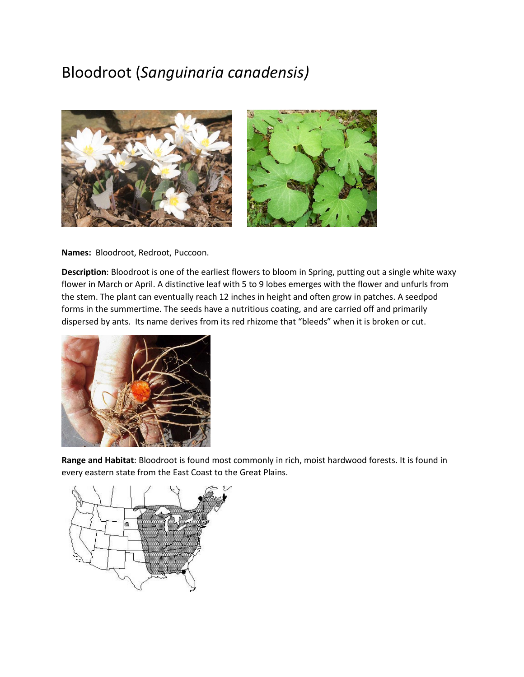# Bloodroot (*Sanguinaria canadensis)*





**Names:** Bloodroot, Redroot, Puccoon.

**Description**: Bloodroot is one of the earliest flowers to bloom in Spring, putting out a single white waxy flower in March or April. A distinctive leaf with 5 to 9 lobes emerges with the flower and unfurls from the stem. The plant can eventually reach 12 inches in height and often grow in patches. A seedpod forms in the summertime. The seeds have a nutritious coating, and are carried off and primarily dispersed by ants. Its name derives from its red rhizome that "bleeds" when it is broken or cut.



**Range and Habitat**: Bloodroot is found most commonly in rich, moist hardwood forests. It is found in every eastern state from the East Coast to the Great Plains.

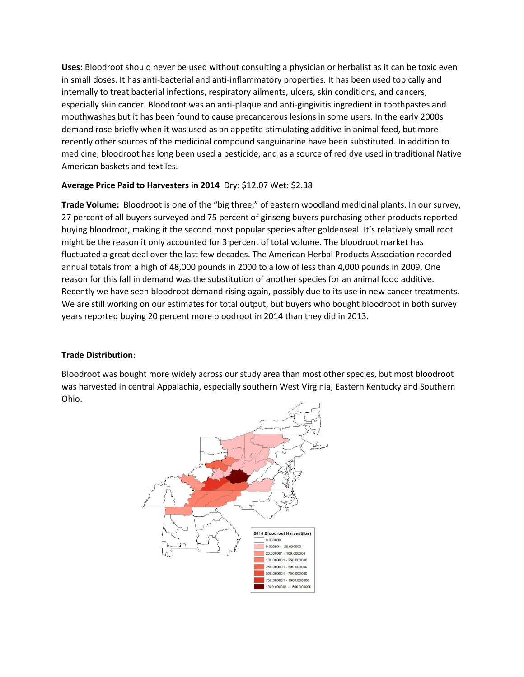**Uses:** Bloodroot should never be used without consulting a physician or herbalist as it can be toxic even in small doses. It has anti-bacterial and anti-inflammatory properties. It has been used topically and internally to treat bacterial infections, respiratory ailments, ulcers, skin conditions, and cancers, especially skin cancer. Bloodroot was an anti-plaque and anti-gingivitis ingredient in toothpastes and mouthwashes but it has been found to cause precancerous lesions in some users. In the early 2000s demand rose briefly when it was used as an appetite-stimulating additive in animal feed, but more recently other sources of the medicinal compound sanguinarine have been substituted. In addition to medicine, bloodroot has long been used a pesticide, and as a source of red dye used in traditional Native American baskets and textiles.

## **Average Price Paid to Harvesters in 2014** Dry: \$12.07 Wet: \$2.38

**Trade Volume:** Bloodroot is one of the "big three," of eastern woodland medicinal plants. In our survey, 27 percent of all buyers surveyed and 75 percent of ginseng buyers purchasing other products reported buying bloodroot, making it the second most popular species after goldenseal. It's relatively small root might be the reason it only accounted for 3 percent of total volume. The bloodroot market has fluctuated a great deal over the last few decades. The American Herbal Products Association recorded annual totals from a high of 48,000 pounds in 2000 to a low of less than 4,000 pounds in 2009. One reason for this fall in demand was the substitution of another species for an animal food additive. Recently we have seen bloodroot demand rising again, possibly due to its use in new cancer treatments. We are still working on our estimates for total output, but buyers who bought bloodroot in both survey years reported buying 20 percent more bloodroot in 2014 than they did in 2013.

### **Trade Distribution**:

Bloodroot was bought more widely across our study area than most other species, but most bloodroot was harvested in central Appalachia, especially southern West Virginia, Eastern Kentucky and Southern Ohio.